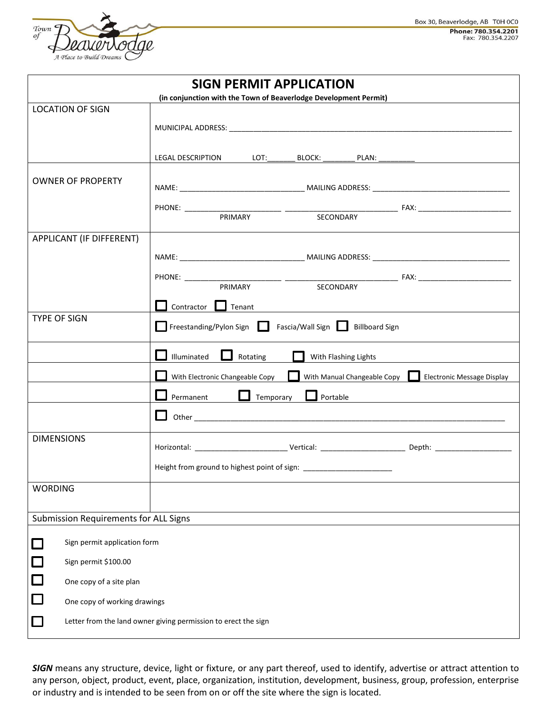

| <b>SIGN PERMIT APPLICATION</b>        |                              |                                                                                             |                  |                      |                       |  |  |
|---------------------------------------|------------------------------|---------------------------------------------------------------------------------------------|------------------|----------------------|-----------------------|--|--|
|                                       |                              | (in conjunction with the Town of Beaverlodge Development Permit)                            |                  |                      |                       |  |  |
|                                       | <b>LOCATION OF SIGN</b>      |                                                                                             |                  |                      |                       |  |  |
|                                       |                              |                                                                                             |                  |                      |                       |  |  |
|                                       |                              |                                                                                             |                  |                      |                       |  |  |
|                                       |                              | LEGAL DESCRIPTION LOT: LOT: BLOCK: _________ PLAN: _________                                |                  |                      |                       |  |  |
|                                       |                              |                                                                                             |                  |                      |                       |  |  |
| <b>OWNER OF PROPERTY</b>              |                              |                                                                                             |                  |                      |                       |  |  |
|                                       |                              |                                                                                             |                  |                      |                       |  |  |
|                                       |                              |                                                                                             | PRIMARY          | <b>SECONDARY</b>     |                       |  |  |
|                                       |                              |                                                                                             |                  |                      |                       |  |  |
| APPLICANT (IF DIFFERENT)              |                              |                                                                                             |                  |                      |                       |  |  |
|                                       |                              |                                                                                             |                  |                      |                       |  |  |
|                                       |                              |                                                                                             |                  |                      |                       |  |  |
|                                       |                              |                                                                                             |                  |                      |                       |  |  |
|                                       |                              |                                                                                             |                  |                      |                       |  |  |
|                                       |                              | Contractor Tenant                                                                           |                  |                      |                       |  |  |
| <b>TYPE OF SIGN</b>                   |                              | Freestanding/Pylon Sign Fascia/Wall Sign                                                    |                  |                      | <b>Billboard Sign</b> |  |  |
|                                       |                              | Illuminated                                                                                 | Rotating         | With Flashing Lights |                       |  |  |
|                                       |                              | With Electronic Changeable Copy<br>With Manual Changeable Copy   Electronic Message Display |                  |                      |                       |  |  |
|                                       |                              | Permanent                                                                                   | $\Box$ Temporary | $\Box$ Portable      |                       |  |  |
|                                       |                              |                                                                                             |                  |                      |                       |  |  |
| <b>DIMENSIONS</b>                     |                              |                                                                                             |                  |                      |                       |  |  |
|                                       |                              |                                                                                             |                  |                      |                       |  |  |
|                                       |                              | Height from ground to highest point of sign: ___________________________________            |                  |                      |                       |  |  |
| <b>WORDING</b>                        |                              |                                                                                             |                  |                      |                       |  |  |
| Submission Requirements for ALL Signs |                              |                                                                                             |                  |                      |                       |  |  |
|                                       | Sign permit application form |                                                                                             |                  |                      |                       |  |  |
|                                       | Sign permit \$100.00         |                                                                                             |                  |                      |                       |  |  |
| 口                                     | One copy of a site plan      |                                                                                             |                  |                      |                       |  |  |
| $\Box$                                | One copy of working drawings |                                                                                             |                  |                      |                       |  |  |
| $\Box$                                |                              | Letter from the land owner giving permission to erect the sign                              |                  |                      |                       |  |  |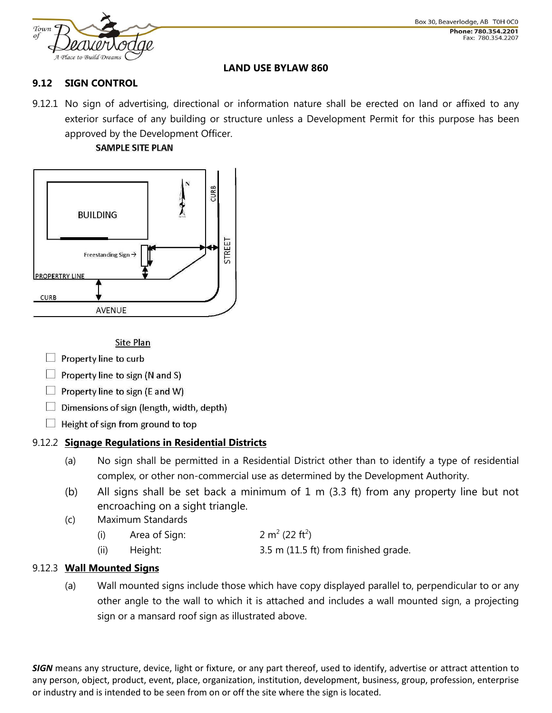

#### **LAND USE BYLAW 860**

## **9.12 SIGN CONTROL**

9.12.1 No sign of advertising, directional or information nature shall be erected on land or affixed to any exterior surface of any building or structure unless a Development Permit for this purpose has been approved by the Development Officer.

#### **SAMPLE SITE PLAN**



**Site Plan** 

- $\Box$  Property line to curb
- Property line to sign (N and S)
- $\Box$  Property line to sign (E and W)
- $\Box$  Dimensions of sign (length, width, depth)
- $\Box$  Height of sign from ground to top

## 9.12.2 **Signage Regulations in Residential Districts**

- (a) No sign shall be permitted in a Residential District other than to identify a type of residential complex, or other non-commercial use as determined by the Development Authority.
- (b) All signs shall be set back a minimum of 1 m (3.3 ft) from any property line but not encroaching on a sight triangle.
- (c) Maximum Standards
	- $(i)$  Area of Sign:  $(22 ft<sup>2</sup>)$
	- (ii) Height: 3.5 m (11.5 ft) from finished grade.

## 9.12.3 **Wall Mounted Signs**

(a) Wall mounted signs include those which have copy displayed parallel to, perpendicular to or any other angle to the wall to which it is attached and includes a wall mounted sign, a projecting sign or a mansard roof sign as illustrated above.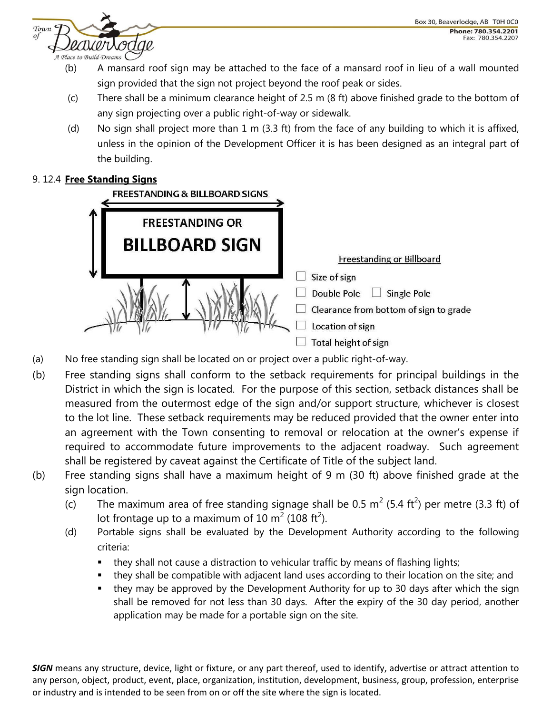

- (b) A mansard roof sign may be attached to the face of a mansard roof in lieu of a wall mounted sign provided that the sign not project beyond the roof peak or sides.
- (c) There shall be a minimum clearance height of 2.5 m (8 ft) above finished grade to the bottom of any sign projecting over a public right-of-way or sidewalk.
- (d) No sign shall project more than 1 m (3.3 ft) from the face of any building to which it is affixed, unless in the opinion of the Development Officer it is has been designed as an integral part of the building.

# 9. 12.4 **Free Standing Signs**



- (a) No free standing sign shall be located on or project over a public right-of-way.
- (b) Free standing signs shall conform to the setback requirements for principal buildings in the District in which the sign is located. For the purpose of this section, setback distances shall be measured from the outermost edge of the sign and/or support structure, whichever is closest to the lot line. These setback requirements may be reduced provided that the owner enter into an agreement with the Town consenting to removal or relocation at the owner's expense if required to accommodate future improvements to the adjacent roadway. Such agreement shall be registered by caveat against the Certificate of Title of the subject land.
- (b) Free standing signs shall have a maximum height of 9 m (30 ft) above finished grade at the sign location.
	- (c) The maximum area of free standing signage shall be 0.5 m<sup>2</sup> (5.4 ft<sup>2</sup>) per metre (3.3 ft) of lot frontage up to a maximum of 10 m<sup>2</sup> (108 ft<sup>2</sup>).
	- (d) Portable signs shall be evaluated by the Development Authority according to the following criteria:
		- they shall not cause a distraction to vehicular traffic by means of flashing lights;
		- they shall be compatible with adjacent land uses according to their location on the site; and
		- they may be approved by the Development Authority for up to 30 days after which the sign shall be removed for not less than 30 days. After the expiry of the 30 day period, another application may be made for a portable sign on the site.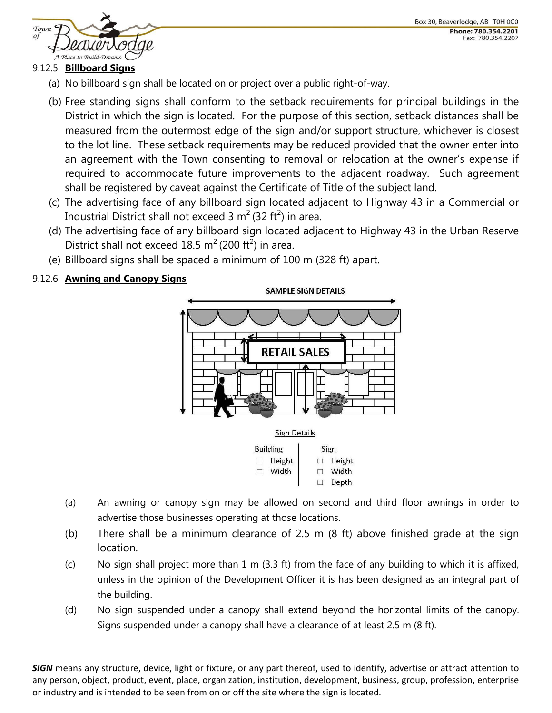

#### 9.12.5 **Billboard Signs**

- (a) No billboard sign shall be located on or project over a public right-of-way.
- (b) Free standing signs shall conform to the setback requirements for principal buildings in the District in which the sign is located. For the purpose of this section, setback distances shall be measured from the outermost edge of the sign and/or support structure, whichever is closest to the lot line. These setback requirements may be reduced provided that the owner enter into an agreement with the Town consenting to removal or relocation at the owner's expense if required to accommodate future improvements to the adjacent roadway. Such agreement shall be registered by caveat against the Certificate of Title of the subject land.
- (c) The advertising face of any billboard sign located adjacent to Highway 43 in a Commercial or Industrial District shall not exceed 3 m $^2$  (32 ft $^2$ ) in area.
- (d) The advertising face of any billboard sign located adjacent to Highway 43 in the Urban Reserve District shall not exceed 18.5 m<sup>2</sup> (200 ft<sup>2</sup>) in area.
- (e) Billboard signs shall be spaced a minimum of 100 m (328 ft) apart.

# 9.12.6 **Awning and Canopy Signs**



- (a) An awning or canopy sign may be allowed on second and third floor awnings in order to advertise those businesses operating at those locations.
- (b) There shall be a minimum clearance of 2.5 m (8 ft) above finished grade at the sign location.
- (c) No sign shall project more than 1 m (3.3 ft) from the face of any building to which it is affixed, unless in the opinion of the Development Officer it is has been designed as an integral part of the building.
- (d) No sign suspended under a canopy shall extend beyond the horizontal limits of the canopy. Signs suspended under a canopy shall have a clearance of at least 2.5 m (8 ft).